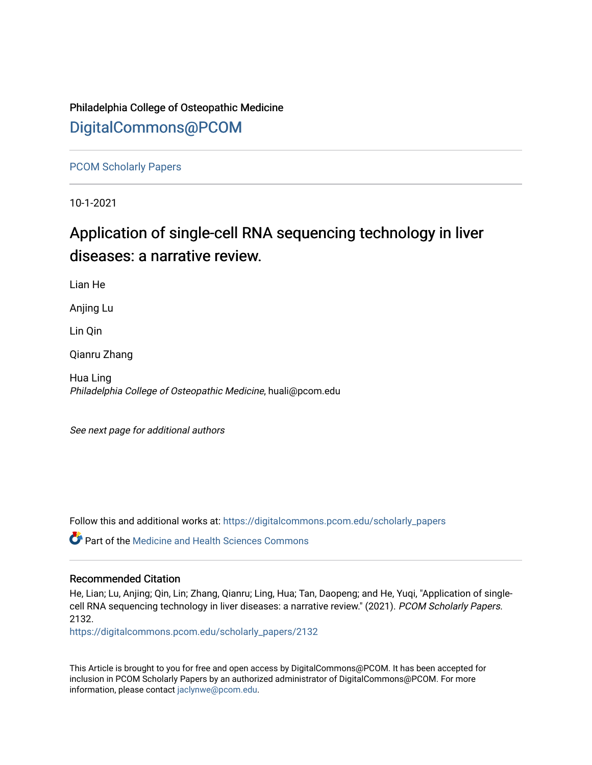## Philadelphia College of Osteopathic Medicine [DigitalCommons@PCOM](https://digitalcommons.pcom.edu/)

[PCOM Scholarly Papers](https://digitalcommons.pcom.edu/scholarly_papers) 

10-1-2021

# Application of single-cell RNA sequencing technology in liver diseases: a narrative review.

Lian He

Anjing Lu

Lin Qin

Qianru Zhang

Hua Ling Philadelphia College of Osteopathic Medicine, huali@pcom.edu

See next page for additional authors

Follow this and additional works at: [https://digitalcommons.pcom.edu/scholarly\\_papers](https://digitalcommons.pcom.edu/scholarly_papers?utm_source=digitalcommons.pcom.edu%2Fscholarly_papers%2F2132&utm_medium=PDF&utm_campaign=PDFCoverPages) 

**C** Part of the Medicine and Health Sciences Commons

## Recommended Citation

He, Lian; Lu, Anjing; Qin, Lin; Zhang, Qianru; Ling, Hua; Tan, Daopeng; and He, Yuqi, "Application of singlecell RNA sequencing technology in liver diseases: a narrative review." (2021). PCOM Scholarly Papers. 2132.

[https://digitalcommons.pcom.edu/scholarly\\_papers/2132](https://digitalcommons.pcom.edu/scholarly_papers/2132?utm_source=digitalcommons.pcom.edu%2Fscholarly_papers%2F2132&utm_medium=PDF&utm_campaign=PDFCoverPages) 

This Article is brought to you for free and open access by DigitalCommons@PCOM. It has been accepted for inclusion in PCOM Scholarly Papers by an authorized administrator of DigitalCommons@PCOM. For more information, please contact [jaclynwe@pcom.edu](mailto:jaclynwe@pcom.edu).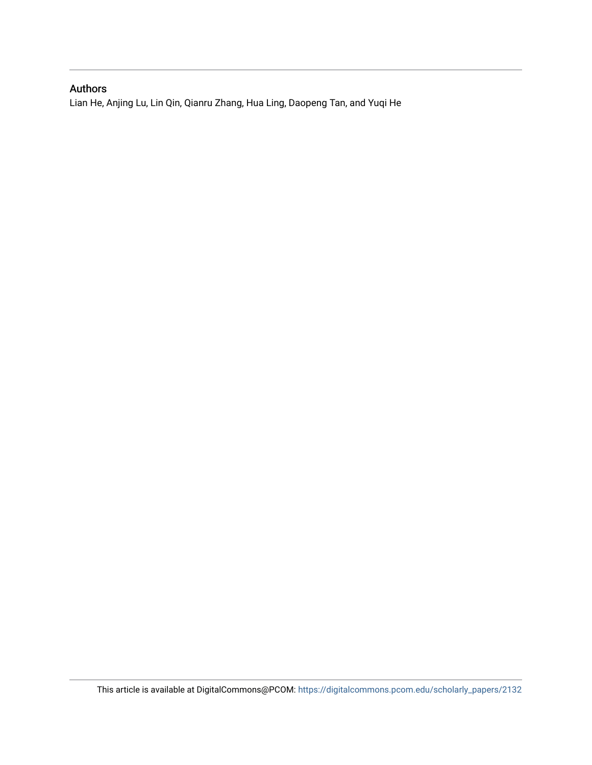## Authors

Lian He, Anjing Lu, Lin Qin, Qianru Zhang, Hua Ling, Daopeng Tan, and Yuqi He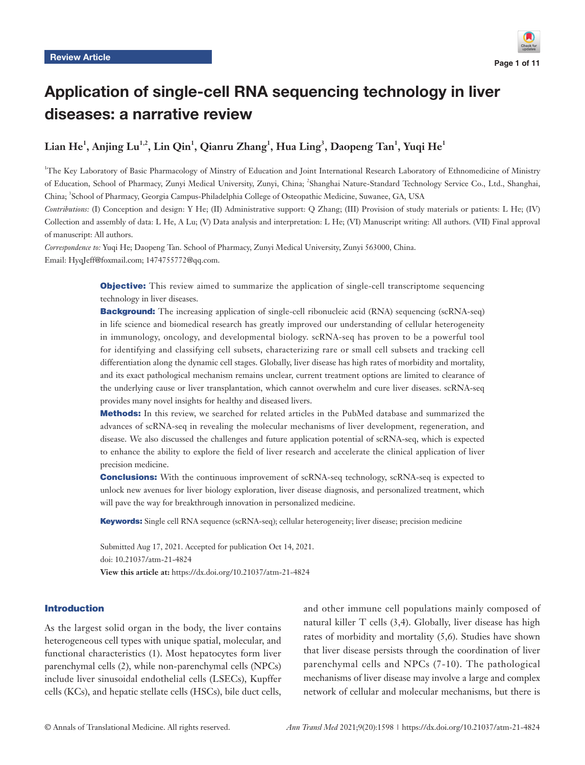

## Application of single-cell RNA sequencing technology in liver diseases: a narrative review

## $\mathbf{L}$ ian  $\mathbf{He}^1$ , Anjing  $\mathbf{Lu}^{1,2}$ ,  $\mathbf{Lin} \textbf{ Qin}^1$ ,  $\mathbf{Qianru}$  Zhang $^1$ ,  $\mathbf{Huu}$  Ling $^3$ ,  $\mathbf{Daopeng}$  Tan $^1$ ,  $\mathbf{Yuqi}$   $\mathbf{He}^1$

1 The Key Laboratory of Basic Pharmacology of Minstry of Education and Joint International Research Laboratory of Ethnomedicine of Ministry of Education, School of Pharmacy, Zunyi Medical University, Zunyi, China; <sup>2</sup> Shanghai Nature-Standard Technology Service Co., Ltd., Shanghai, China; <sup>3</sup>School of Pharmacy, Georgia Campus-Philadelphia College of Osteopathic Medicine, Suwanee, GA, USA

*Contributions:* (I) Conception and design: Y He; (II) Administrative support: Q Zhang; (III) Provision of study materials or patients: L He; (IV) Collection and assembly of data: L He, A Lu; (V) Data analysis and interpretation: L He; (VI) Manuscript writing: All authors. (VII) Final approval of manuscript: All authors.

*Correspondence to:* Yuqi He; Daopeng Tan. School of Pharmacy, Zunyi Medical University, Zunyi 563000, China. Email: HyqJeff@foxmail.com; 1474755772@qq.com.

> **Objective:** This review aimed to summarize the application of single-cell transcriptome sequencing technology in liver diseases.

> **Background:** The increasing application of single-cell ribonucleic acid (RNA) sequencing (scRNA-seq) in life science and biomedical research has greatly improved our understanding of cellular heterogeneity in immunology, oncology, and developmental biology. scRNA-seq has proven to be a powerful tool for identifying and classifying cell subsets, characterizing rare or small cell subsets and tracking cell differentiation along the dynamic cell stages. Globally, liver disease has high rates of morbidity and mortality, and its exact pathological mechanism remains unclear, current treatment options are limited to clearance of the underlying cause or liver transplantation, which cannot overwhelm and cure liver diseases. scRNA-seq provides many novel insights for healthy and diseased livers.

> **Methods:** In this review, we searched for related articles in the PubMed database and summarized the advances of scRNA-seq in revealing the molecular mechanisms of liver development, regeneration, and disease. We also discussed the challenges and future application potential of scRNA-seq, which is expected to enhance the ability to explore the field of liver research and accelerate the clinical application of liver precision medicine.

> **Conclusions:** With the continuous improvement of scRNA-seq technology, scRNA-seq is expected to unlock new avenues for liver biology exploration, liver disease diagnosis, and personalized treatment, which will pave the way for breakthrough innovation in personalized medicine.

Keywords: Single cell RNA sequence (scRNA-seq); cellular heterogeneity; liver disease; precision medicine

Submitted Aug 17, 2021. Accepted for publication Oct 14, 2021. doi: 10.21037/atm-21-4824 **View this article at:** https://dx.doi.org/10.21037/atm-21-4824

#### Introduction

As the largest solid organ in the body, the liver contains heterogeneous cell types with unique spatial, molecular, and functional characteristics (1). Most hepatocytes form liver parenchymal cells (2), while non-parenchymal cells (NPCs) include liver sinusoidal endothelial cells (LSECs), Kupffer cells (KCs), and hepatic stellate cells (HSCs), bile duct cells, and other immune cell populations mainly composed of natural killer T cells (3,4). Globally, liver disease has high rates of morbidity and mortality (5,6). Studies have shown that liver disease persists through the coordination of liver parenchymal cells and NPCs (7-10). The pathological mechanisms of liver disease may involve a large and complex network of cellular and molecular mechanisms, but there is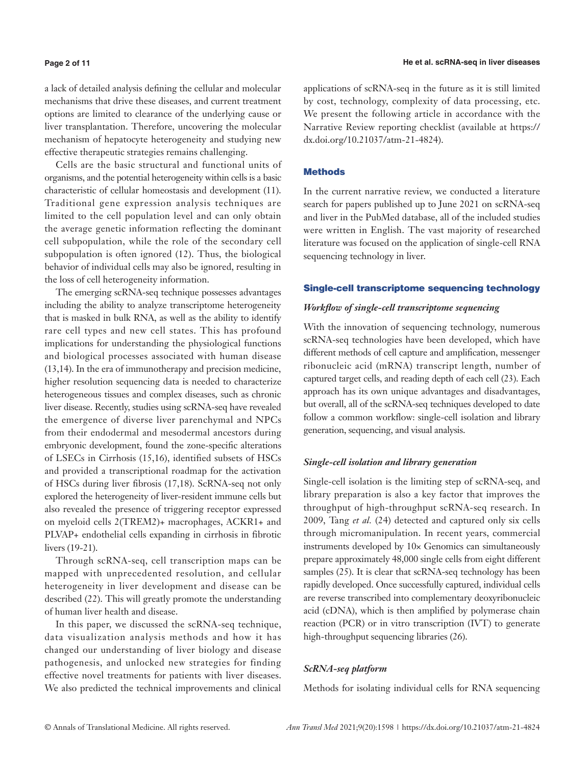#### **Page 2 of 11**

a lack of detailed analysis defining the cellular and molecular mechanisms that drive these diseases, and current treatment options are limited to clearance of the underlying cause or liver transplantation. Therefore, uncovering the molecular mechanism of hepatocyte heterogeneity and studying new effective therapeutic strategies remains challenging.

Cells are the basic structural and functional units of organisms, and the potential heterogeneity within cells is a basic characteristic of cellular homeostasis and development (11). Traditional gene expression analysis techniques are limited to the cell population level and can only obtain the average genetic information reflecting the dominant cell subpopulation, while the role of the secondary cell subpopulation is often ignored (12). Thus, the biological behavior of individual cells may also be ignored, resulting in the loss of cell heterogeneity information.

The emerging scRNA-seq technique possesses advantages including the ability to analyze transcriptome heterogeneity that is masked in bulk RNA, as well as the ability to identify rare cell types and new cell states. This has profound implications for understanding the physiological functions and biological processes associated with human disease (13,14). In the era of immunotherapy and precision medicine, higher resolution sequencing data is needed to characterize heterogeneous tissues and complex diseases, such as chronic liver disease. Recently, studies using scRNA-seq have revealed the emergence of diverse liver parenchymal and NPCs from their endodermal and mesodermal ancestors during embryonic development, found the zone-specific alterations of LSECs in Cirrhosis (15,16), identified subsets of HSCs and provided a transcriptional roadmap for the activation of HSCs during liver fibrosis (17,18). ScRNA-seq not only explored the heterogeneity of liver-resident immune cells but also revealed the presence of triggering receptor expressed on myeloid cells 2(TREM2)+ macrophages, ACKR1+ and PLVAP+ endothelial cells expanding in cirrhosis in fibrotic livers (19-21).

Through scRNA-seq, cell transcription maps can be mapped with unprecedented resolution, and cellular heterogeneity in liver development and disease can be described (22). This will greatly promote the understanding of human liver health and disease.

In this paper, we discussed the scRNA-seq technique, data visualization analysis methods and how it has changed our understanding of liver biology and disease pathogenesis, and unlocked new strategies for finding effective novel treatments for patients with liver diseases. We also predicted the technical improvements and clinical applications of scRNA-seq in the future as it is still limited by cost, technology, complexity of data processing, etc. We present the following article in accordance with the Narrative Review reporting checklist (available at [https://](https://dx.doi.org/10.21037/atm-21-4824) [dx.doi.org/10.21037/atm-21-4824](https://dx.doi.org/10.21037/atm-21-4824)).

#### **Methods**

In the current narrative review, we conducted a literature search for papers published up to June 2021 on scRNA-seq and liver in the PubMed database, all of the included studies were written in English. The vast majority of researched literature was focused on the application of single-cell RNA sequencing technology in liver.

#### Single-cell transcriptome sequencing technology

#### *Workflow of single-cell transcriptome sequencing*

With the innovation of sequencing technology, numerous scRNA-seq technologies have been developed, which have different methods of cell capture and amplification, messenger ribonucleic acid (mRNA) transcript length, number of captured target cells, and reading depth of each cell (23). Each approach has its own unique advantages and disadvantages, but overall, all of the scRNA-seq techniques developed to date follow a common workflow: single-cell isolation and library generation, sequencing, and visual analysis.

#### *Single-cell isolation and library generation*

Single-cell isolation is the limiting step of scRNA-seq, and library preparation is also a key factor that improves the throughput of high-throughput scRNA-seq research. In 2009, Tang *et al.* (24) detected and captured only six cells through micromanipulation. In recent years, commercial instruments developed by 10× Genomics can simultaneously prepare approximately 48,000 single cells from eight different samples (25). It is clear that scRNA-seq technology has been rapidly developed. Once successfully captured, individual cells are reverse transcribed into complementary deoxyribonucleic acid (cDNA), which is then amplified by polymerase chain reaction (PCR) or in vitro transcription (IVT) to generate high-throughput sequencing libraries (26).

#### *ScRNA-seq platform*

Methods for isolating individual cells for RNA sequencing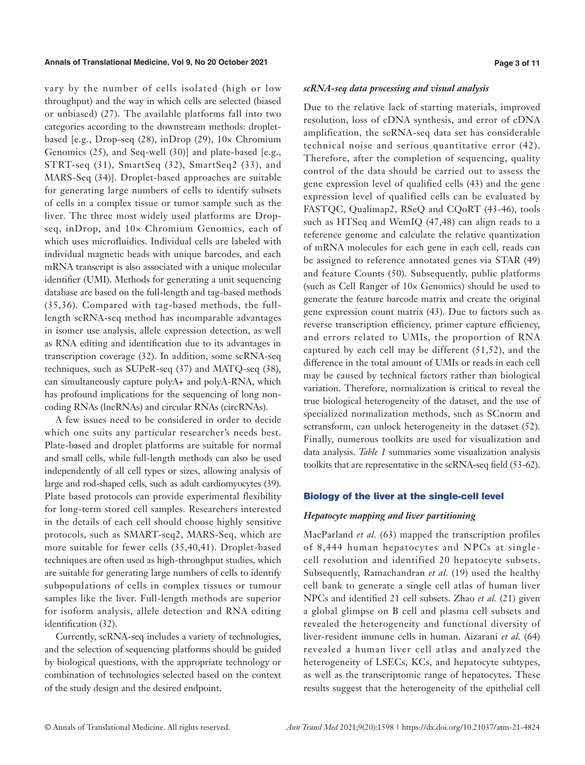#### **Annals of Translational Medicine, Vol 9, No 20 October 2021 Page 3 of 11**

vary by the number of cells isolated (high or low throughput) and the way in which cells are selected (biased or unbiased) (27). The available platforms fall into two categories according to the downstream methods: dropletbased [e.g., Drop-seq  $(28)$ , inDrop  $(29)$ ,  $10 \times$  Chromium Genomics (25), and Seq-well (30)] and plate-based [e.g., STRT-seq (31), SmartSeq (32), SmartSeq2 (33), and MARS-Seq (34)]. Droplet-based approaches are suitable for generating large numbers of cells to identify subsets of cells in a complex tissue or tumor sample such as the liver. The three most widely used platforms are Dropseq, inDrop, and 10× Chromium Genomics, each of which uses microfluidics. Individual cells are labeled with individual magnetic beads with unique barcodes, and each mRNA transcript is also associated with a unique molecular identifier (UMI). Methods for generating a unit sequencing database are based on the full-length and tag-based methods (35,36). Compared with tag-based methods, the fulllength scRNA-seq method has incomparable advantages in isomer use analysis, allele expression detection, as well as RNA editing and identification due to its advantages in transcription coverage (32). In addition, some scRNA-seq techniques, such as SUPeR-seq (37) and MATQ-seq (38), can simultaneously capture polyA+ and polyA-RNA, which has profound implications for the sequencing of long noncoding RNAs (lncRNAs) and circular RNAs (circRNAs).

A few issues need to be considered in order to decide which one suits any particular researcher's needs best. Plate-based and droplet platforms are suitable for normal and small cells, while full-length methods can also be used independently of all cell types or sizes, allowing analysis of large and rod-shaped cells, such as adult cardiomyocytes (39). Plate based protocols can provide experimental flexibility for long-term stored cell samples. Researchers interested in the details of each cell should choose highly sensitive protocols, such as SMART-seq2, MARS-Seq, which are more suitable for fewer cells (35,40,41). Droplet-based techniques are often used as high-throughput studies, which are suitable for generating large numbers of cells to identify subpopulations of cells in complex tissues or tumour samples like the liver. Full-length methods are superior for isoform analysis, allele detection and RNA editing identification (32).

Currently, scRNA-seq includes a variety of technologies, and the selection of sequencing platforms should be guided by biological questions, with the appropriate technology or combination of technologies selected based on the context of the study design and the desired endpoint.

#### *scRNA-seq data processing and visual analysis*

Due to the relative lack of starting materials, improved resolution, loss of cDNA synthesis, and error of cDNA amplification, the scRNA-seq data set has considerable technical noise and serious quantitative error (42). Therefore, after the completion of sequencing, quality control of the data should be carried out to assess the gene expression level of qualified cells (43) and the gene expression level of qualified cells can be evaluated by FASTQC, Qualimap2, RSeQ and CQoRT (43-46), tools such as HTSeq and WemIQ (47,48) can align reads to a reference genome and calculate the relative quantization of mRNA molecules for each gene in each cell, reads can be assigned to reference annotated genes via STAR (49) and feature Counts (50). Subsequently, public platforms (such as Cell Ranger of 10× Genomics) should be used to generate the feature barcode matrix and create the original gene expression count matrix (43). Due to factors such as reverse transcription efficiency, primer capture efficiency, and errors related to UMIs, the proportion of RNA captured by each cell may be different (51,52), and the difference in the total amount of UMIs or reads in each cell may be caused by technical factors rather than biological variation. Therefore, normalization is critical to reveal the true biological heterogeneity of the dataset, and the use of specialized normalization methods, such as SCnorm and sctransform, can unlock heterogeneity in the dataset (52). Finally, numerous toolkits are used for visualization and data analysis. *Table 1* summaries some visualization analysis toolkits that are representative in the scRNA-seq field (53-62).

#### Biology of the liver at the single-cell level

#### *Hepatocyte mapping and liver partitioning*

MacParland *et al.* (63) mapped the transcription profiles of 8,444 human hepatocytes and NPCs at singlecell resolution and identified 20 hepatocyte subsets. Subsequently, Ramachandran *et al.* (19) used the healthy cell bank to generate a single cell atlas of human liver NPCs and identified 21 cell subsets. Zhao *et al.* (21) given a global glimpse on B cell and plasma cell subsets and revealed the heterogeneity and functional diversity of liver-resident immune cells in human. Aizarani *et al.* (64) revealed a human liver cell atlas and analyzed the heterogeneity of LSECs, KCs, and hepatocyte subtypes, as well as the transcriptomic range of hepatocytes. These results suggest that the heterogeneity of the epithelial cell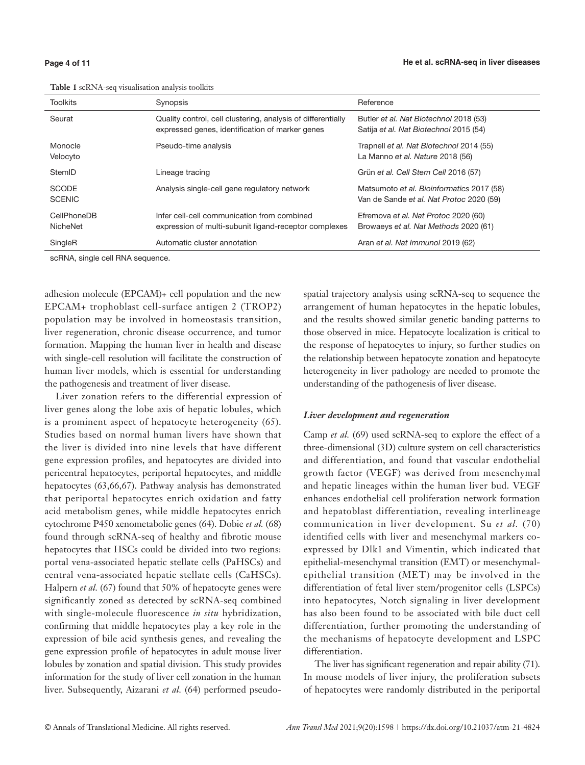| <b>Toolkits</b>               | Synopsis                                                                                                        | Reference                                                                             |
|-------------------------------|-----------------------------------------------------------------------------------------------------------------|---------------------------------------------------------------------------------------|
| Seurat                        | Quality control, cell clustering, analysis of differentially<br>expressed genes, identification of marker genes | Butler et al. Nat Biotechnol 2018 (53)<br>Satija et al. Nat Biotechnol 2015 (54)      |
| Monocle<br>Velocyto           | Pseudo-time analysis                                                                                            | Trapnell et al. Nat Biotechnol 2014 (55)<br>La Manno et al. Nature 2018 (56)          |
| StemID                        | Lineage tracing                                                                                                 | Grün et al. Cell Stem Cell 2016 (57)                                                  |
| <b>SCODE</b><br><b>SCENIC</b> | Analysis single-cell gene regulatory network                                                                    | Matsumoto et al. Bioinformatics 2017 (58)<br>Van de Sande et al. Nat Protoc 2020 (59) |
| CellPhoneDB<br>NicheNet       | Infer cell-cell communication from combined<br>expression of multi-subunit ligand-receptor complexes            | Efremova et al. Nat Protoc 2020 (60)<br>Browaeys et al. Nat Methods 2020 (61)         |
| SingleR                       | Automatic cluster annotation                                                                                    | Aran et al. Nat Immunol 2019 (62)                                                     |

**Table 1** scRNA-seq visualisation analysis toolkits

scRNA, single cell RNA sequence.

adhesion molecule (EPCAM)+ cell population and the new EPCAM+ trophoblast cell-surface antigen 2 (TROP2) population may be involved in homeostasis transition, liver regeneration, chronic disease occurrence, and tumor formation. Mapping the human liver in health and disease with single-cell resolution will facilitate the construction of human liver models, which is essential for understanding the pathogenesis and treatment of liver disease.

Liver zonation refers to the differential expression of liver genes along the lobe axis of hepatic lobules, which is a prominent aspect of hepatocyte heterogeneity (65). Studies based on normal human livers have shown that the liver is divided into nine levels that have different gene expression profiles, and hepatocytes are divided into pericentral hepatocytes, periportal hepatocytes, and middle hepatocytes (63,66,67). Pathway analysis has demonstrated that periportal hepatocytes enrich oxidation and fatty acid metabolism genes, while middle hepatocytes enrich cytochrome P450 xenometabolic genes (64). Dobie *et al.* (68) found through scRNA-seq of healthy and fibrotic mouse hepatocytes that HSCs could be divided into two regions: portal vena-associated hepatic stellate cells (PaHSCs) and central vena-associated hepatic stellate cells (CaHSCs). Halpern *et al.* (67) found that 50% of hepatocyte genes were significantly zoned as detected by scRNA-seq combined with single-molecule fluorescence *in situ* hybridization, confirming that middle hepatocytes play a key role in the expression of bile acid synthesis genes, and revealing the gene expression profile of hepatocytes in adult mouse liver lobules by zonation and spatial division. This study provides information for the study of liver cell zonation in the human liver. Subsequently, Aizarani *et al.* (64) performed pseudospatial trajectory analysis using scRNA-seq to sequence the arrangement of human hepatocytes in the hepatic lobules, and the results showed similar genetic banding patterns to those observed in mice. Hepatocyte localization is critical to the response of hepatocytes to injury, so further studies on the relationship between hepatocyte zonation and hepatocyte heterogeneity in liver pathology are needed to promote the understanding of the pathogenesis of liver disease.

#### *Liver development and regeneration*

Camp *et al.* (69) used scRNA-seq to explore the effect of a three-dimensional (3D) culture system on cell characteristics and differentiation, and found that vascular endothelial growth factor (VEGF) was derived from mesenchymal and hepatic lineages within the human liver bud. VEGF enhances endothelial cell proliferation network formation and hepatoblast differentiation, revealing interlineage communication in liver development. Su *et al.* (70) identified cells with liver and mesenchymal markers coexpressed by Dlk1 and Vimentin, which indicated that epithelial-mesenchymal transition (EMT) or mesenchymalepithelial transition (MET) may be involved in the differentiation of fetal liver stem/progenitor cells (LSPCs) into hepatocytes, Notch signaling in liver development has also been found to be associated with bile duct cell differentiation, further promoting the understanding of the mechanisms of hepatocyte development and LSPC differentiation.

The liver has significant regeneration and repair ability (71). In mouse models of liver injury, the proliferation subsets of hepatocytes were randomly distributed in the periportal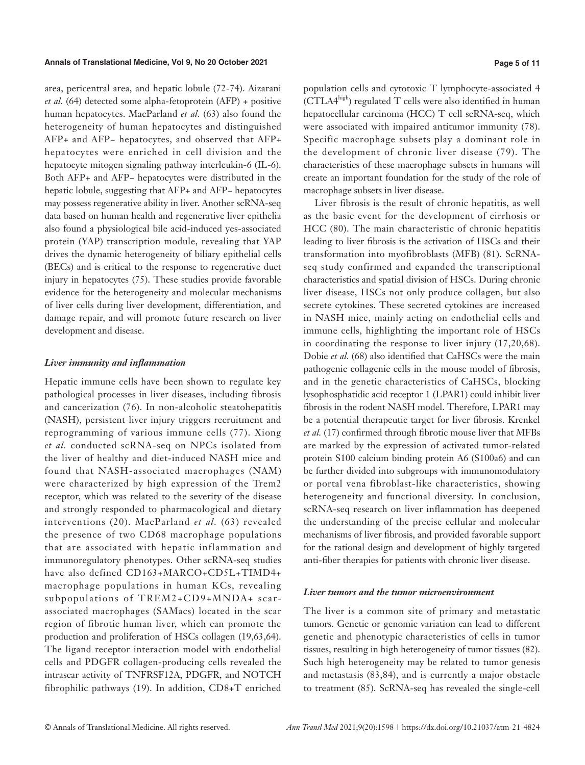area, pericentral area, and hepatic lobule (72-74). Aizarani *et al.* (64) detected some alpha-fetoprotein (AFP) + positive human hepatocytes. MacParland *et al.* (63) also found the heterogeneity of human hepatocytes and distinguished AFP+ and AFP− hepatocytes, and observed that AFP+ hepatocytes were enriched in cell division and the hepatocyte mitogen signaling pathway interleukin-6 (IL-6). Both AFP+ and AFP− hepatocytes were distributed in the hepatic lobule, suggesting that AFP+ and AFP− hepatocytes may possess regenerative ability in liver. Another scRNA-seq data based on human health and regenerative liver epithelia also found a physiological bile acid-induced yes-associated protein (YAP) transcription module, revealing that YAP drives the dynamic heterogeneity of biliary epithelial cells (BECs) and is critical to the response to regenerative duct injury in hepatocytes (75). These studies provide favorable evidence for the heterogeneity and molecular mechanisms of liver cells during liver development, differentiation, and damage repair, and will promote future research on liver development and disease.

#### *Liver immunity and inflammation*

Hepatic immune cells have been shown to regulate key pathological processes in liver diseases, including fibrosis and cancerization (76). In non-alcoholic steatohepatitis (NASH), persistent liver injury triggers recruitment and reprogramming of various immune cells (77). Xiong *et al.* conducted scRNA-seq on NPCs isolated from the liver of healthy and diet-induced NASH mice and found that NASH-associated macrophages (NAM) were characterized by high expression of the Trem2 receptor, which was related to the severity of the disease and strongly responded to pharmacological and dietary interventions (20). MacParland *et al.* (63) revealed the presence of two CD68 macrophage populations that are associated with hepatic inflammation and immunoregulatory phenotypes. Other scRNA-seq studies have also defined CD163+MARCO+CD5L+TIMD4+ macrophage populations in human KCs, revealing subpopulations of TREM2+CD9+MNDA+ scarassociated macrophages (SAMacs) located in the scar region of fibrotic human liver, which can promote the production and proliferation of HSCs collagen (19,63,64). The ligand receptor interaction model with endothelial cells and PDGFR collagen-producing cells revealed the intrascar activity of TNFRSF12A, PDGFR, and NOTCH fibrophilic pathways (19). In addition, CD8+T enriched population cells and cytotoxic T lymphocyte-associated 4 (CTLA4high) regulated T cells were also identified in human hepatocellular carcinoma (HCC) T cell scRNA-seq, which were associated with impaired antitumor immunity (78). Specific macrophage subsets play a dominant role in the development of chronic liver disease (79). The characteristics of these macrophage subsets in humans will create an important foundation for the study of the role of macrophage subsets in liver disease.

Liver fibrosis is the result of chronic hepatitis, as well as the basic event for the development of cirrhosis or HCC (80). The main characteristic of chronic hepatitis leading to liver fibrosis is the activation of HSCs and their transformation into myofibroblasts (MFB) (81). ScRNAseq study confirmed and expanded the transcriptional characteristics and spatial division of HSCs. During chronic liver disease, HSCs not only produce collagen, but also secrete cytokines. These secreted cytokines are increased in NASH mice, mainly acting on endothelial cells and immune cells, highlighting the important role of HSCs in coordinating the response to liver injury (17,20,68). Dobie *et al.* (68) also identified that CaHSCs were the main pathogenic collagenic cells in the mouse model of fibrosis, and in the genetic characteristics of CaHSCs, blocking lysophosphatidic acid receptor 1 (LPAR1) could inhibit liver fibrosis in the rodent NASH model. Therefore, LPAR1 may be a potential therapeutic target for liver fibrosis. Krenkel *et al.* (17) confirmed through fibrotic mouse liver that MFBs are marked by the expression of activated tumor-related protein S100 calcium binding protein A6 (S100a6) and can be further divided into subgroups with immunomodulatory or portal vena fibroblast-like characteristics, showing heterogeneity and functional diversity. In conclusion, scRNA-seq research on liver inflammation has deepened the understanding of the precise cellular and molecular mechanisms of liver fibrosis, and provided favorable support for the rational design and development of highly targeted anti-fiber therapies for patients with chronic liver disease.

#### *Liver tumors and the tumor microenvironment*

The liver is a common site of primary and metastatic tumors. Genetic or genomic variation can lead to different genetic and phenotypic characteristics of cells in tumor tissues, resulting in high heterogeneity of tumor tissues (82). Such high heterogeneity may be related to tumor genesis and metastasis (83,84), and is currently a major obstacle to treatment (85). ScRNA-seq has revealed the single-cell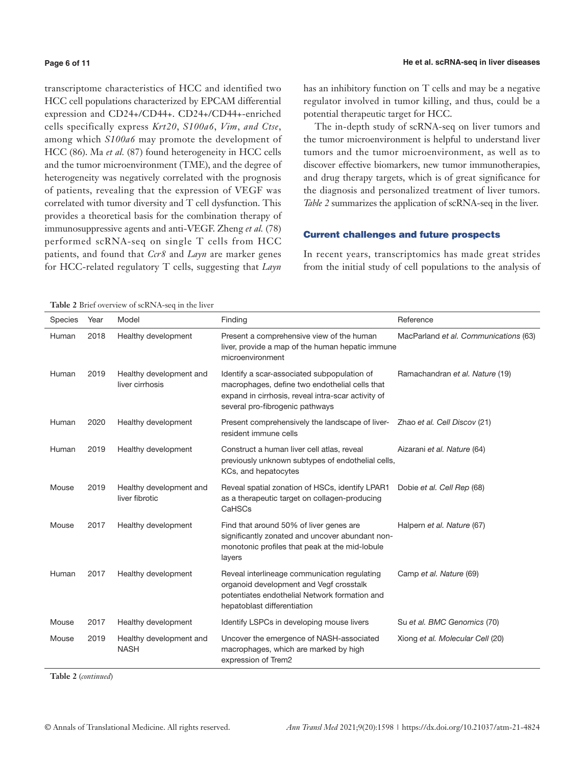#### **Page 6 of 11**

transcriptome characteristics of HCC and identified two HCC cell populations characterized by EPCAM differential expression and CD24+/CD44+. CD24+/CD44+-enriched cells specifically express *Krt20*, *S100a6*, *Vim*, *and Ctse*, among which *S100a6* may promote the development of HCC (86). Ma *et al.* (87) found heterogeneity in HCC cells and the tumor microenvironment (TME), and the degree of heterogeneity was negatively correlated with the prognosis of patients, revealing that the expression of VEGF was correlated with tumor diversity and T cell dysfunction. This provides a theoretical basis for the combination therapy of immunosuppressive agents and anti-VEGF. Zheng *et al.* (78) performed scRNA-seq on single T cells from HCC patients, and found that *Ccr8* and *Layn* are marker genes for HCC-related regulatory T cells, suggesting that *Layn*

has an inhibitory function on T cells and may be a negative regulator involved in tumor killing, and thus, could be a potential therapeutic target for HCC.

The in-depth study of scRNA-seq on liver tumors and the tumor microenvironment is helpful to understand liver tumors and the tumor microenvironment, as well as to discover effective biomarkers, new tumor immunotherapies, and drug therapy targets, which is of great significance for the diagnosis and personalized treatment of liver tumors. *Table 2* summarizes the application of scRNA-seq in the liver.

#### Current challenges and future prospects

In recent years, transcriptomics has made great strides from the initial study of cell populations to the analysis of

**Table 2** Brief overview of scRNA-seq in the liver

| <b>Species</b> | Year | Model                                      | Finding                                                                                                                                                                                | Reference                             |
|----------------|------|--------------------------------------------|----------------------------------------------------------------------------------------------------------------------------------------------------------------------------------------|---------------------------------------|
| Human          | 2018 | Healthy development                        | Present a comprehensive view of the human<br>liver, provide a map of the human hepatic immune<br>microenvironment                                                                      | MacParland et al. Communications (63) |
| Human          | 2019 | Healthy development and<br>liver cirrhosis | Identify a scar-associated subpopulation of<br>macrophages, define two endothelial cells that<br>expand in cirrhosis, reveal intra-scar activity of<br>several pro-fibrogenic pathways | Ramachandran et al. Nature (19)       |
| Human          | 2020 | Healthy development                        | Present comprehensively the landscape of liver-<br>resident immune cells                                                                                                               | Zhao et al. Cell Discov (21)          |
| Human          | 2019 | Healthy development                        | Construct a human liver cell atlas, reveal<br>previously unknown subtypes of endothelial cells,<br>KCs, and hepatocytes                                                                | Aizarani et al. Nature (64)           |
| Mouse          | 2019 | Healthy development and<br>liver fibrotic  | Reveal spatial zonation of HSCs, identify LPAR1<br>as a therapeutic target on collagen-producing<br>CaHSCs                                                                             | Dobie et al. Cell Rep (68)            |
| Mouse          | 2017 | Healthy development                        | Find that around 50% of liver genes are<br>significantly zonated and uncover abundant non-<br>monotonic profiles that peak at the mid-lobule<br>layers                                 | Halpern et al. Nature (67)            |
| Human          | 2017 | Healthy development                        | Reveal interlineage communication regulating<br>organoid development and Vegf crosstalk<br>potentiates endothelial Network formation and<br>hepatoblast differentiation                | Camp et al. Nature (69)               |
| Mouse          | 2017 | Healthy development                        | Identify LSPCs in developing mouse livers                                                                                                                                              | Su et al. BMC Genomics (70)           |
| Mouse          | 2019 | Healthy development and<br><b>NASH</b>     | Uncover the emergence of NASH-associated<br>macrophages, which are marked by high<br>expression of Trem2                                                                               | Xiong et al. Molecular Cell (20)      |

**Table 2** (*continued*)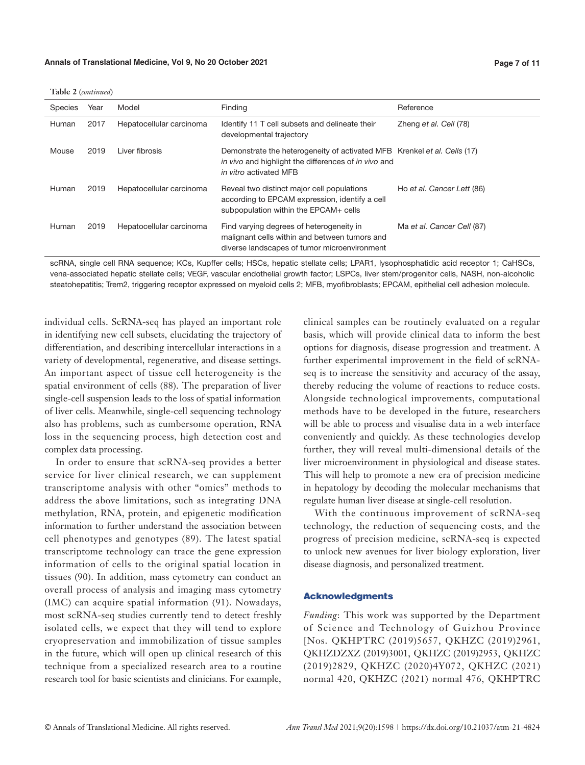|  |  | Table 2 (continued) |
|--|--|---------------------|
|--|--|---------------------|

| <b>Species</b> | Year | Model                    | Finding                                                                                                                                                    | Reference                  |
|----------------|------|--------------------------|------------------------------------------------------------------------------------------------------------------------------------------------------------|----------------------------|
|                |      |                          |                                                                                                                                                            |                            |
| Human          | 2017 | Hepatocellular carcinoma | Identify 11 T cell subsets and delineate their<br>developmental trajectory                                                                                 | Zheng et al. Cell (78)     |
| Mouse          | 2019 | Liver fibrosis           | Demonstrate the heterogeneity of activated MFB Krenkel et al. Cells (17)<br>in vivo and highlight the differences of in vivo and<br>in vitro activated MFB |                            |
| Human          | 2019 | Hepatocellular carcinoma | Reveal two distinct major cell populations<br>according to EPCAM expression, identify a cell<br>subpopulation within the EPCAM+ cells                      | Ho et al. Cancer Lett (86) |
| Human          | 2019 | Hepatocellular carcinoma | Find varying degrees of heterogeneity in<br>malignant cells within and between tumors and<br>diverse landscapes of tumor microenvironment                  | Ma et al. Cancer Cell (87) |

scRNA, single cell RNA sequence; KCs, Kupffer cells; HSCs, hepatic stellate cells; LPAR1, lysophosphatidic acid receptor 1; CaHSCs, vena-associated hepatic stellate cells; VEGF, vascular endothelial growth factor; LSPCs, liver stem/progenitor cells, NASH, non-alcoholic steatohepatitis; Trem2, triggering receptor expressed on myeloid cells 2; MFB, myofibroblasts; EPCAM, epithelial cell adhesion molecule.

individual cells. ScRNA-seq has played an important role in identifying new cell subsets, elucidating the trajectory of differentiation, and describing intercellular interactions in a variety of developmental, regenerative, and disease settings. An important aspect of tissue cell heterogeneity is the spatial environment of cells (88). The preparation of liver single-cell suspension leads to the loss of spatial information of liver cells. Meanwhile, single-cell sequencing technology also has problems, such as cumbersome operation, RNA loss in the sequencing process, high detection cost and complex data processing.

In order to ensure that scRNA-seq provides a better service for liver clinical research, we can supplement transcriptome analysis with other "omics" methods to address the above limitations, such as integrating DNA methylation, RNA, protein, and epigenetic modification information to further understand the association between cell phenotypes and genotypes (89). The latest spatial transcriptome technology can trace the gene expression information of cells to the original spatial location in tissues (90). In addition, mass cytometry can conduct an overall process of analysis and imaging mass cytometry (IMC) can acquire spatial information (91). Nowadays, most scRNA-seq studies currently tend to detect freshly isolated cells, we expect that they will tend to explore cryopreservation and immobilization of tissue samples in the future, which will open up clinical research of this technique from a specialized research area to a routine research tool for basic scientists and clinicians. For example,

clinical samples can be routinely evaluated on a regular basis, which will provide clinical data to inform the best options for diagnosis, disease progression and treatment. A further experimental improvement in the field of scRNAseq is to increase the sensitivity and accuracy of the assay, thereby reducing the volume of reactions to reduce costs. Alongside technological improvements, computational methods have to be developed in the future, researchers will be able to process and visualise data in a web interface conveniently and quickly. As these technologies develop further, they will reveal multi-dimensional details of the liver microenvironment in physiological and disease states. This will help to promote a new era of precision medicine in hepatology by decoding the molecular mechanisms that regulate human liver disease at single-cell resolution.

With the continuous improvement of scRNA-seq technology, the reduction of sequencing costs, and the progress of precision medicine, scRNA-seq is expected to unlock new avenues for liver biology exploration, liver disease diagnosis, and personalized treatment.

#### Acknowledgments

*Funding*: This work was supported by the Department of Science and Technology of Guizhou Province [Nos. QKHPTRC (2019)5657, QKHZC (2019)2961, QKHZDZXZ (2019)3001, QKHZC (2019)2953, QKHZC (2019)2829, QKHZC (2020)4Y072, QKHZC (2021) normal 420, QKHZC (2021) normal 476, QKHPTRC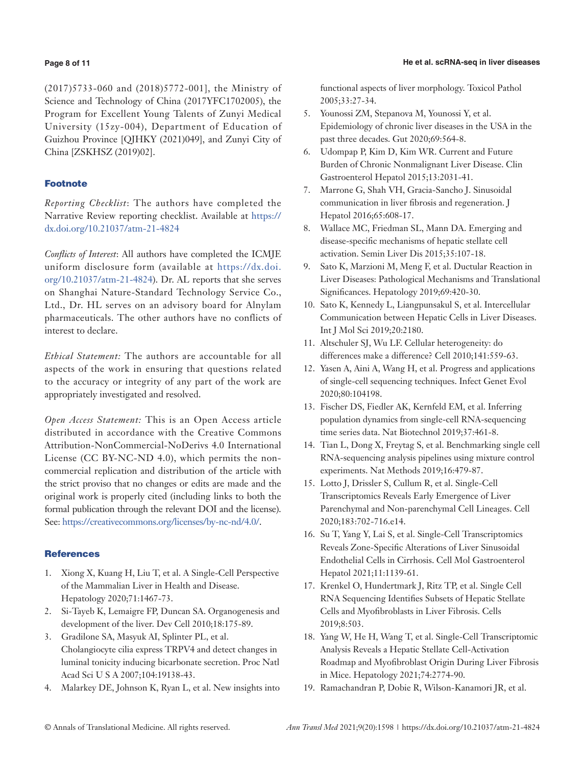### **Page 8 of 11**

(2017)5733-060 and (2018)5772-001], the Ministry of Science and Technology of China (2017YFC1702005), the Program for Excellent Young Talents of Zunyi Medical University (15zy-004), Department of Education of Guizhou Province [QJHKY (2021)049], and Zunyi City of China [ZSKHSZ (2019)02].

## **Footnote**

*Reporting Checklist*: The authors have completed the Narrative Review reporting checklist. Available at [https://](https://dx.doi.org/10.21037/atm-21-4824) [dx.doi.org/10.21037/atm-21-4824](https://dx.doi.org/10.21037/atm-21-4824)

*Conflicts of Interest*: All authors have completed the ICMJE uniform disclosure form (available at [https://dx.doi.](https://dx.doi.org/10.21037/atm-21-4824) [org/10.21037/atm-21-4824](https://dx.doi.org/10.21037/atm-21-4824)). Dr. AL reports that she serves on Shanghai Nature-Standard Technology Service Co., Ltd., Dr. HL serves on an advisory board for Alnylam pharmaceuticals. The other authors have no conflicts of interest to declare.

*Ethical Statement:* The authors are accountable for all aspects of the work in ensuring that questions related to the accuracy or integrity of any part of the work are appropriately investigated and resolved.

*Open Access Statement:* This is an Open Access article distributed in accordance with the Creative Commons Attribution-NonCommercial-NoDerivs 4.0 International License (CC BY-NC-ND 4.0), which permits the noncommercial replication and distribution of the article with the strict proviso that no changes or edits are made and the original work is properly cited (including links to both the formal publication through the relevant DOI and the license). See: [https://creativecommons.org/licenses/by-nc-nd/4.0/.](https://creativecommons.org/licenses/by-nc-nd/4.0/)

## **References**

- 1. Xiong X, Kuang H, Liu T, et al. A Single-Cell Perspective of the Mammalian Liver in Health and Disease. Hepatology 2020;71:1467-73.
- 2. Si-Tayeb K, Lemaigre FP, Duncan SA. Organogenesis and development of the liver. Dev Cell 2010;18:175-89.
- 3. Gradilone SA, Masyuk AI, Splinter PL, et al. Cholangiocyte cilia express TRPV4 and detect changes in luminal tonicity inducing bicarbonate secretion. Proc Natl Acad Sci U S A 2007;104:19138-43.
- 4. Malarkey DE, Johnson K, Ryan L, et al. New insights into

functional aspects of liver morphology. Toxicol Pathol 2005;33:27-34.

- 5. Younossi ZM, Stepanova M, Younossi Y, et al. Epidemiology of chronic liver diseases in the USA in the past three decades. Gut 2020;69:564-8.
- 6. Udompap P, Kim D, Kim WR. Current and Future Burden of Chronic Nonmalignant Liver Disease. Clin Gastroenterol Hepatol 2015;13:2031-41.
- 7. Marrone G, Shah VH, Gracia-Sancho J. Sinusoidal communication in liver fibrosis and regeneration. J Hepatol 2016;65:608-17.
- 8. Wallace MC, Friedman SL, Mann DA. Emerging and disease-specific mechanisms of hepatic stellate cell activation. Semin Liver Dis 2015;35:107-18.
- 9. Sato K, Marzioni M, Meng F, et al. Ductular Reaction in Liver Diseases: Pathological Mechanisms and Translational Significances. Hepatology 2019;69:420-30.
- 10. Sato K, Kennedy L, Liangpunsakul S, et al. Intercellular Communication between Hepatic Cells in Liver Diseases. Int J Mol Sci 2019;20:2180.
- 11. Altschuler SJ, Wu LF. Cellular heterogeneity: do differences make a difference? Cell 2010;141:559-63.
- 12. Yasen A, Aini A, Wang H, et al. Progress and applications of single-cell sequencing techniques. Infect Genet Evol 2020;80:104198.
- 13. Fischer DS, Fiedler AK, Kernfeld EM, et al. Inferring population dynamics from single-cell RNA-sequencing time series data. Nat Biotechnol 2019;37:461-8.
- 14. Tian L, Dong X, Freytag S, et al. Benchmarking single cell RNA-sequencing analysis pipelines using mixture control experiments. Nat Methods 2019;16:479-87.
- 15. Lotto J, Drissler S, Cullum R, et al. Single-Cell Transcriptomics Reveals Early Emergence of Liver Parenchymal and Non-parenchymal Cell Lineages. Cell 2020;183:702-716.e14.
- 16. Su T, Yang Y, Lai S, et al. Single-Cell Transcriptomics Reveals Zone-Specific Alterations of Liver Sinusoidal Endothelial Cells in Cirrhosis. Cell Mol Gastroenterol Hepatol 2021;11:1139-61.
- 17. Krenkel O, Hundertmark J, Ritz TP, et al. Single Cell RNA Sequencing Identifies Subsets of Hepatic Stellate Cells and Myofibroblasts in Liver Fibrosis. Cells 2019;8:503.
- 18. Yang W, He H, Wang T, et al. Single-Cell Transcriptomic Analysis Reveals a Hepatic Stellate Cell-Activation Roadmap and Myofibroblast Origin During Liver Fibrosis in Mice. Hepatology 2021;74:2774-90.
- 19. Ramachandran P, Dobie R, Wilson-Kanamori JR, et al.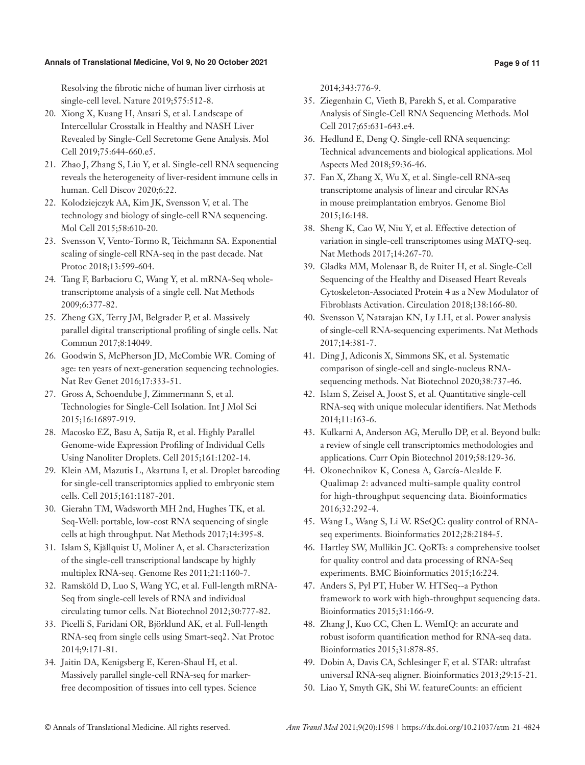#### **Annals of Translational Medicine, Vol 9, No 20 October 2021 Page 9 of 11**

Resolving the fibrotic niche of human liver cirrhosis at single-cell level. Nature 2019;575:512-8.

- 20. Xiong X, Kuang H, Ansari S, et al. Landscape of Intercellular Crosstalk in Healthy and NASH Liver Revealed by Single-Cell Secretome Gene Analysis. Mol Cell 2019;75:644-660.e5.
- 21. Zhao J, Zhang S, Liu Y, et al. Single-cell RNA sequencing reveals the heterogeneity of liver-resident immune cells in human. Cell Discov 2020;6:22.
- 22. Kolodziejczyk AA, Kim JK, Svensson V, et al. The technology and biology of single-cell RNA sequencing. Mol Cell 2015;58:610-20.
- 23. Svensson V, Vento-Tormo R, Teichmann SA. Exponential scaling of single-cell RNA-seq in the past decade. Nat Protoc 2018;13:599-604.
- 24. Tang F, Barbacioru C, Wang Y, et al. mRNA-Seq wholetranscriptome analysis of a single cell. Nat Methods 2009;6:377-82.
- 25. Zheng GX, Terry JM, Belgrader P, et al. Massively parallel digital transcriptional profiling of single cells. Nat Commun 2017;8:14049.
- 26. Goodwin S, McPherson JD, McCombie WR. Coming of age: ten years of next-generation sequencing technologies. Nat Rev Genet 2016;17:333-51.
- 27. Gross A, Schoendube J, Zimmermann S, et al. Technologies for Single-Cell Isolation. Int J Mol Sci 2015;16:16897-919.
- 28. Macosko EZ, Basu A, Satija R, et al. Highly Parallel Genome-wide Expression Profiling of Individual Cells Using Nanoliter Droplets. Cell 2015;161:1202-14.
- 29. Klein AM, Mazutis L, Akartuna I, et al. Droplet barcoding for single-cell transcriptomics applied to embryonic stem cells. Cell 2015;161:1187-201.
- 30. Gierahn TM, Wadsworth MH 2nd, Hughes TK, et al. Seq-Well: portable, low-cost RNA sequencing of single cells at high throughput. Nat Methods 2017;14:395-8.
- 31. Islam S, Kjällquist U, Moliner A, et al. Characterization of the single-cell transcriptional landscape by highly multiplex RNA-seq. Genome Res 2011;21:1160-7.
- 32. Ramsköld D, Luo S, Wang YC, et al. Full-length mRNA-Seq from single-cell levels of RNA and individual circulating tumor cells. Nat Biotechnol 2012;30:777-82.
- 33. Picelli S, Faridani OR, Björklund AK, et al. Full-length RNA-seq from single cells using Smart-seq2. Nat Protoc 2014;9:171-81.
- 34. Jaitin DA, Kenigsberg E, Keren-Shaul H, et al. Massively parallel single-cell RNA-seq for markerfree decomposition of tissues into cell types. Science

2014;343:776-9.

- 35. Ziegenhain C, Vieth B, Parekh S, et al. Comparative Analysis of Single-Cell RNA Sequencing Methods. Mol Cell 2017;65:631-643.e4.
- 36. Hedlund E, Deng Q. Single-cell RNA sequencing: Technical advancements and biological applications. Mol Aspects Med 2018;59:36-46.
- 37. Fan X, Zhang X, Wu X, et al. Single-cell RNA-seq transcriptome analysis of linear and circular RNAs in mouse preimplantation embryos. Genome Biol 2015;16:148.
- 38. Sheng K, Cao W, Niu Y, et al. Effective detection of variation in single-cell transcriptomes using MATQ-seq. Nat Methods 2017;14:267-70.
- 39. Gladka MM, Molenaar B, de Ruiter H, et al. Single-Cell Sequencing of the Healthy and Diseased Heart Reveals Cytoskeleton-Associated Protein 4 as a New Modulator of Fibroblasts Activation. Circulation 2018;138:166-80.
- 40. Svensson V, Natarajan KN, Ly LH, et al. Power analysis of single-cell RNA-sequencing experiments. Nat Methods 2017;14:381-7.
- 41. Ding J, Adiconis X, Simmons SK, et al. Systematic comparison of single-cell and single-nucleus RNAsequencing methods. Nat Biotechnol 2020;38:737-46.
- 42. Islam S, Zeisel A, Joost S, et al. Quantitative single-cell RNA-seq with unique molecular identifiers. Nat Methods 2014;11:163-6.
- 43. Kulkarni A, Anderson AG, Merullo DP, et al. Beyond bulk: a review of single cell transcriptomics methodologies and applications. Curr Opin Biotechnol 2019;58:129-36.
- 44. Okonechnikov K, Conesa A, García-Alcalde F. Qualimap 2: advanced multi-sample quality control for high-throughput sequencing data. Bioinformatics 2016;32:292-4.
- 45. Wang L, Wang S, Li W. RSeQC: quality control of RNAseq experiments. Bioinformatics 2012;28:2184-5.
- 46. Hartley SW, Mullikin JC. QoRTs: a comprehensive toolset for quality control and data processing of RNA-Seq experiments. BMC Bioinformatics 2015;16:224.
- 47. Anders S, Pyl PT, Huber W. HTSeq--a Python framework to work with high-throughput sequencing data. Bioinformatics 2015;31:166-9.
- 48. Zhang J, Kuo CC, Chen L. WemIQ: an accurate and robust isoform quantification method for RNA-seq data. Bioinformatics 2015;31:878-85.
- 49. Dobin A, Davis CA, Schlesinger F, et al. STAR: ultrafast universal RNA-seq aligner. Bioinformatics 2013;29:15-21.
- 50. Liao Y, Smyth GK, Shi W. featureCounts: an efficient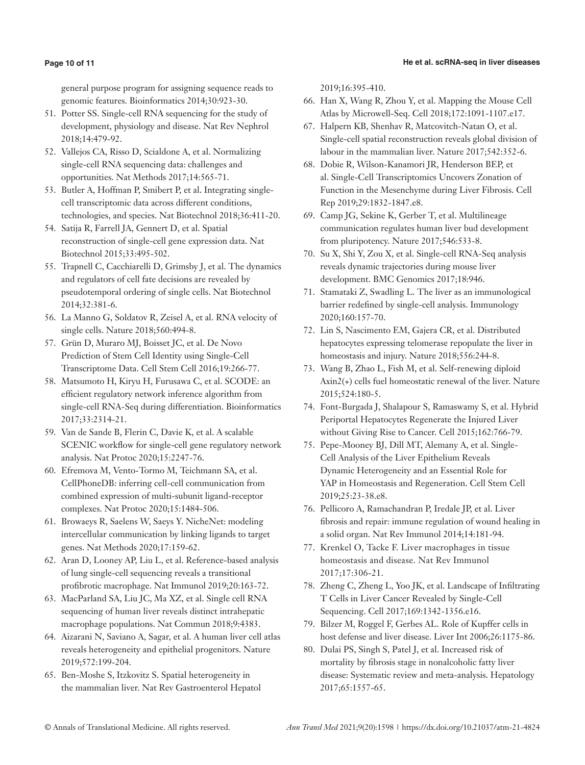#### **He et al. scRNA-seq in liver diseases**

### **Page 10 of 11**

general purpose program for assigning sequence reads to genomic features. Bioinformatics 2014;30:923-30.

- 51. Potter SS. Single-cell RNA sequencing for the study of development, physiology and disease. Nat Rev Nephrol 2018;14:479-92.
- 52. Vallejos CA, Risso D, Scialdone A, et al. Normalizing single-cell RNA sequencing data: challenges and opportunities. Nat Methods 2017;14:565-71.
- 53. Butler A, Hoffman P, Smibert P, et al. Integrating singlecell transcriptomic data across different conditions, technologies, and species. Nat Biotechnol 2018;36:411-20.
- 54. Satija R, Farrell JA, Gennert D, et al. Spatial reconstruction of single-cell gene expression data. Nat Biotechnol 2015;33:495-502.
- 55. Trapnell C, Cacchiarelli D, Grimsby J, et al. The dynamics and regulators of cell fate decisions are revealed by pseudotemporal ordering of single cells. Nat Biotechnol 2014;32:381-6.
- 56. La Manno G, Soldatov R, Zeisel A, et al. RNA velocity of single cells. Nature 2018;560:494-8.
- 57. Grün D, Muraro MJ, Boisset JC, et al. De Novo Prediction of Stem Cell Identity using Single-Cell Transcriptome Data. Cell Stem Cell 2016;19:266-77.
- 58. Matsumoto H, Kiryu H, Furusawa C, et al. SCODE: an efficient regulatory network inference algorithm from single-cell RNA-Seq during differentiation. Bioinformatics 2017;33:2314-21.
- 59. Van de Sande B, Flerin C, Davie K, et al. A scalable SCENIC workflow for single-cell gene regulatory network analysis. Nat Protoc 2020;15:2247-76.
- 60. Efremova M, Vento-Tormo M, Teichmann SA, et al. CellPhoneDB: inferring cell-cell communication from combined expression of multi-subunit ligand-receptor complexes. Nat Protoc 2020;15:1484-506.
- 61. Browaeys R, Saelens W, Saeys Y. NicheNet: modeling intercellular communication by linking ligands to target genes. Nat Methods 2020;17:159-62.
- 62. Aran D, Looney AP, Liu L, et al. Reference-based analysis of lung single-cell sequencing reveals a transitional profibrotic macrophage. Nat Immunol 2019;20:163-72.
- 63. MacParland SA, Liu JC, Ma XZ, et al. Single cell RNA sequencing of human liver reveals distinct intrahepatic macrophage populations. Nat Commun 2018;9:4383.
- 64. Aizarani N, Saviano A, Sagar, et al. A human liver cell atlas reveals heterogeneity and epithelial progenitors. Nature 2019;572:199-204.
- 65. Ben-Moshe S, Itzkovitz S. Spatial heterogeneity in the mammalian liver. Nat Rev Gastroenterol Hepatol

2019;16:395-410.

- 66. Han X, Wang R, Zhou Y, et al. Mapping the Mouse Cell Atlas by Microwell-Seq. Cell 2018;172:1091-1107.e17.
- 67. Halpern KB, Shenhav R, Matcovitch-Natan O, et al. Single-cell spatial reconstruction reveals global division of labour in the mammalian liver. Nature 2017;542:352-6.
- 68. Dobie R, Wilson-Kanamori JR, Henderson BEP, et al. Single-Cell Transcriptomics Uncovers Zonation of Function in the Mesenchyme during Liver Fibrosis. Cell Rep 2019;29:1832-1847.e8.
- 69. Camp JG, Sekine K, Gerber T, et al. Multilineage communication regulates human liver bud development from pluripotency. Nature 2017;546:533-8.
- 70. Su X, Shi Y, Zou X, et al. Single-cell RNA-Seq analysis reveals dynamic trajectories during mouse liver development. BMC Genomics 2017;18:946.
- 71. Stamataki Z, Swadling L. The liver as an immunological barrier redefined by single-cell analysis. Immunology 2020;160:157-70.
- 72. Lin S, Nascimento EM, Gajera CR, et al. Distributed hepatocytes expressing telomerase repopulate the liver in homeostasis and injury. Nature 2018;556:244-8.
- 73. Wang B, Zhao L, Fish M, et al. Self-renewing diploid Axin2(+) cells fuel homeostatic renewal of the liver. Nature 2015;524:180-5.
- 74. Font-Burgada J, Shalapour S, Ramaswamy S, et al. Hybrid Periportal Hepatocytes Regenerate the Injured Liver without Giving Rise to Cancer. Cell 2015;162:766-79.
- 75. Pepe-Mooney BJ, Dill MT, Alemany A, et al. Single-Cell Analysis of the Liver Epithelium Reveals Dynamic Heterogeneity and an Essential Role for YAP in Homeostasis and Regeneration. Cell Stem Cell 2019;25:23-38.e8.
- 76. Pellicoro A, Ramachandran P, Iredale JP, et al. Liver fibrosis and repair: immune regulation of wound healing in a solid organ. Nat Rev Immunol 2014;14:181-94.
- 77. Krenkel O, Tacke F. Liver macrophages in tissue homeostasis and disease. Nat Rev Immunol 2017;17:306-21.
- 78. Zheng C, Zheng L, Yoo JK, et al. Landscape of Infiltrating T Cells in Liver Cancer Revealed by Single-Cell Sequencing. Cell 2017;169:1342-1356.e16.
- 79. Bilzer M, Roggel F, Gerbes AL. Role of Kupffer cells in host defense and liver disease. Liver Int 2006;26:1175-86.
- 80. Dulai PS, Singh S, Patel J, et al. Increased risk of mortality by fibrosis stage in nonalcoholic fatty liver disease: Systematic review and meta-analysis. Hepatology 2017;65:1557-65.